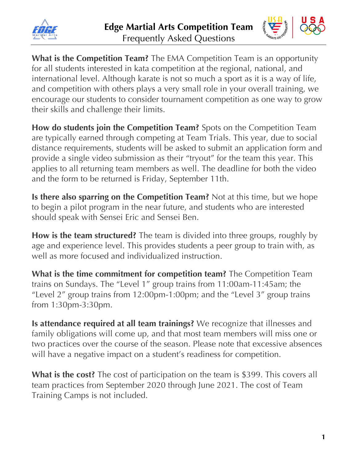



**What is the Competition Team?** The EMA Competition Team is an opportunity for all students interested in kata competition at the regional, national, and international level. Although karate is not so much a sport as it is a way of life, and competition with others plays a very small role in your overall training, we encourage our students to consider tournament competition as one way to grow their skills and challenge their limits.

**How do students join the Competition Team?** Spots on the Competition Team are typically earned through competing at Team Trials. This year, due to social distance requirements, students will be asked to submit an application form and provide a single video submission as their "tryout" for the team this year. This applies to all returning team members as well. The deadline for both the video and the form to be returned is Friday, September 11th.

**Is there also sparring on the Competition Team?** Not at this time, but we hope to begin a pilot program in the near future, and students who are interested should speak with Sensei Eric and Sensei Ben.

**How is the team structured?** The team is divided into three groups, roughly by age and experience level. This provides students a peer group to train with, as well as more focused and individualized instruction.

**What is the time commitment for competition team?** The Competition Team trains on Sundays. The "Level 1" group trains from 11:00am-11:45am; the "Level 2" group trains from 12:00pm-1:00pm; and the "Level 3" group trains from 1:30pm-3:30pm.

**Is attendance required at all team trainings?** We recognize that illnesses and family obligations will come up, and that most team members will miss one or two practices over the course of the season. Please note that excessive absences will have a negative impact on a student's readiness for competition.

**What is the cost?** The cost of participation on the team is \$399. This covers all team practices from September 2020 through June 2021. The cost of Team Training Camps is not included.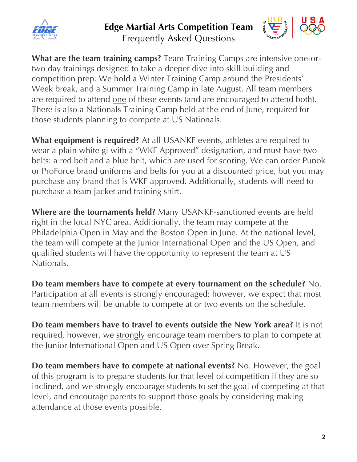



**What are the team training camps?** Team Training Camps are intensive one-ortwo day trainings designed to take a deeper dive into skill building and competition prep. We hold a Winter Training Camp around the Presidents' Week break, and a Summer Training Camp in late August. All team members are required to attend one of these events (and are encouraged to attend both). There is also a Nationals Training Camp held at the end of June, required for those students planning to compete at US Nationals.

**What equipment is required?** At all USANKF events, athletes are required to wear a plain white gi with a "WKF Approved" designation, and must have two belts: a red belt and a blue belt, which are used for scoring. We can order Punok or ProForce brand uniforms and belts for you at a discounted price, but you may purchase any brand that is WKF approved. Additionally, students will need to purchase a team jacket and training shirt.

**Where are the tournaments held?** Many USANKF-sanctioned events are held right in the local NYC area. Additionally, the team may compete at the Philadelphia Open in May and the Boston Open in June. At the national level, the team will compete at the Junior International Open and the US Open, and qualified students will have the opportunity to represent the team at US Nationals.

**Do team members have to compete at every tournament on the schedule?** No. Participation at all events is strongly encouraged; however, we expect that most team members will be unable to compete at or two events on the schedule.

**Do team members have to travel to events outside the New York area?** It is not required, however, we strongly encourage team members to plan to compete at the Junior International Open and US Open over Spring Break.

**Do team members have to compete at national events?** No. However, the goal of this program is to prepare students for that level of competition if they are so inclined, and we strongly encourage students to set the goal of competing at that level, and encourage parents to support those goals by considering making attendance at those events possible.